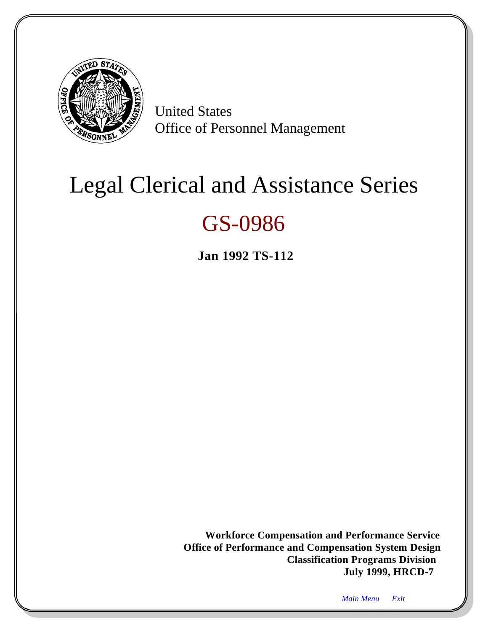<span id="page-0-2"></span><span id="page-0-1"></span><span id="page-0-0"></span>

United States Office of Personnel Management

# Legal Clerical and Assistance Series

## GS-0986

**Jan 1992 TS-112**

**Workforce Compensation and Performance Service Office of Performance and Compensation System Design Classification Programs Division July 1999, HRCD-7**

*Main Menu Exit*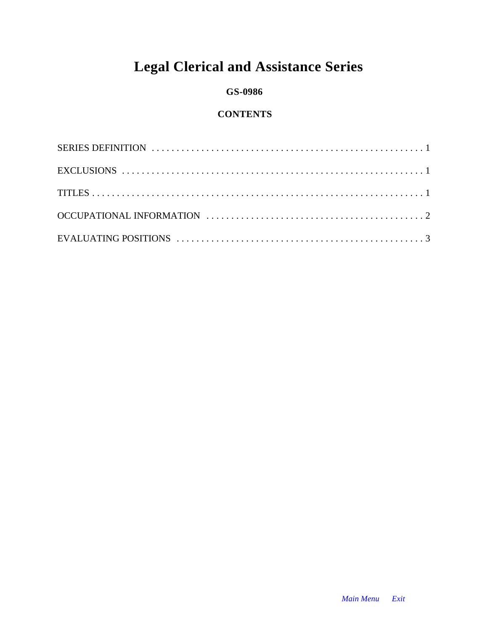### **Legal Clerical and Assistance Series**

#### **GS-0986**

#### **CONTENTS**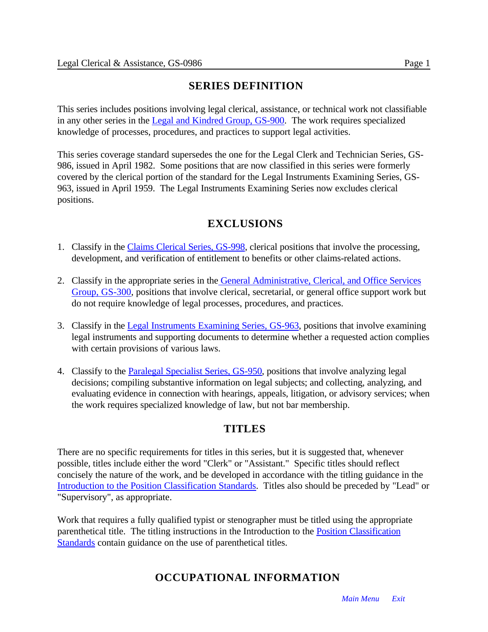#### **SERIES DEFINITION**

This series includes positions involving legal clerical, assistance, or technical work not classifiable in any other series in th[e Legal and Kindred Group, GS-900.](#page-87-0) The work requires specialized knowledge of processes, procedures, and practices to support legal activities.

This series coverage standard supersedes the one for the Legal Clerk and Technician Series, GS-986, issued in April 1982. Some positions that are now classified in this series were formerly covered by the clerical portion of the standard for the Legal Instruments Examining Series, GS-963, issued in April 1959. The Legal Instruments Examining Series now excludes clerical positions.

#### **EXCLUSIONS**

- 1. Classify in th[e Claims Clerical Series, GS-998,](#page-0-1) clerical positions that involve the processing, development, and verification of entitlement to benefits or other claims-related actions.
- 2. Classify in the appropriate series in the [General Administrative, Clerical, and Office Services](#page-0-1) [Group, GS-300,](#page-0-1) positions that involve clerical, secretarial, or general office support work but do not require knowledge of legal processes, procedures, and practices.
- 3. Classify in the [Legal Instruments Examining Series, GS-963,](#page-0-1) positions that involve examining legal instruments and supporting documents to determine whether a requested action complies with certain provisions of various laws.
- 4. Classify to the **Paralegal Specialist Series, GS-950**, positions that involve analyzing legal decisions; compiling substantive information on legal subjects; and collecting, analyzing, and evaluating evidence in connection with hearings, appeals, litigation, or advisory services; when the work requires specialized knowledge of law, but not bar membership.

#### **TITLES**

There are no specific requirements for titles in this series, but it is suggested that, whenever possible, titles include either the word "Clerk" or "Assistant." Specific titles should reflect concisely the nature of the work, and be developed in accordance with the titling guidance in the [Introduction to the Position Classification Standards.](#page-16-0) Titles also should be preceded by "Lead" or "Supervisory", as appropriate.

Work that requires a fully qualified typist or stenographer must be titled using the appropriate parenthetical title. The titling instructions in the Introduction to the **Position Classification** [Standards contain guidance on the use of parenthetical titles.](#page-16-0)

#### **OCCUPATIONAL INFORMATION**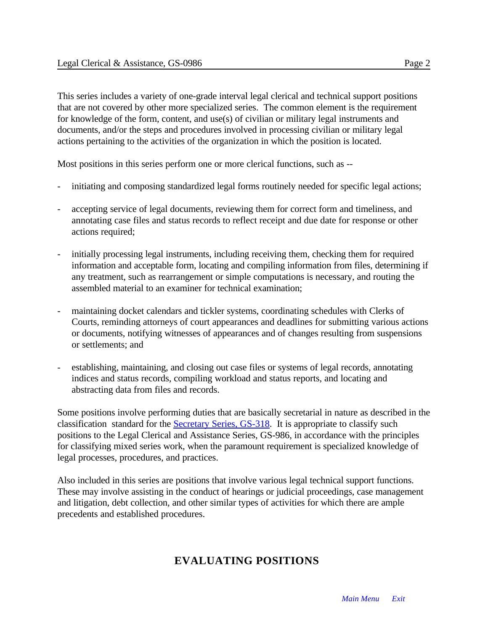This series includes a variety of one-grade interval legal clerical and technical support positions that are not covered by other more specialized series. The common element is the requirement for knowledge of the form, content, and use(s) of civilian or military legal instruments and documents, and/or the steps and procedures involved in processing civilian or military legal actions pertaining to the activities of the organization in which the position is located.

Most positions in this series perform one or more clerical functions, such as --

- initiating and composing standardized legal forms routinely needed for specific legal actions;
- accepting service of legal documents, reviewing them for correct form and timeliness, and annotating case files and status records to reflect receipt and due date for response or other actions required;
- initially processing legal instruments, including receiving them, checking them for required information and acceptable form, locating and compiling information from files, determining if any treatment, such as rearrangement or simple computations is necessary, and routing the assembled material to an examiner for technical examination;
- maintaining docket calendars and tickler systems, coordinating schedules with Clerks of Courts, reminding attorneys of court appearances and deadlines for submitting various actions or documents, notifying witnesses of appearances and of changes resulting from suspensions or settlements; and
- establishing, maintaining, and closing out case files or systems of legal records, annotating indices and status records, compiling workload and status reports, and locating and abstracting data from files and records.

Some positions involve performing duties that are basically secretarial in nature as described in the classification standard for the [Secretary Series, GS-318.](#page-0-1) It is appropriate to classify such positions to the Legal Clerical and Assistance Series, GS-986, in accordance with the principles for classifying mixed series work, when the paramount requirement is specialized knowledge of legal processes, procedures, and practices.

Also included in this series are positions that involve various legal technical support functions. These may involve assisting in the conduct of hearings or judicial proceedings, case management and litigation, debt collection, and other similar types of activities for which there are ample precedents and established procedures.

#### **EVALUATING POSITIONS**